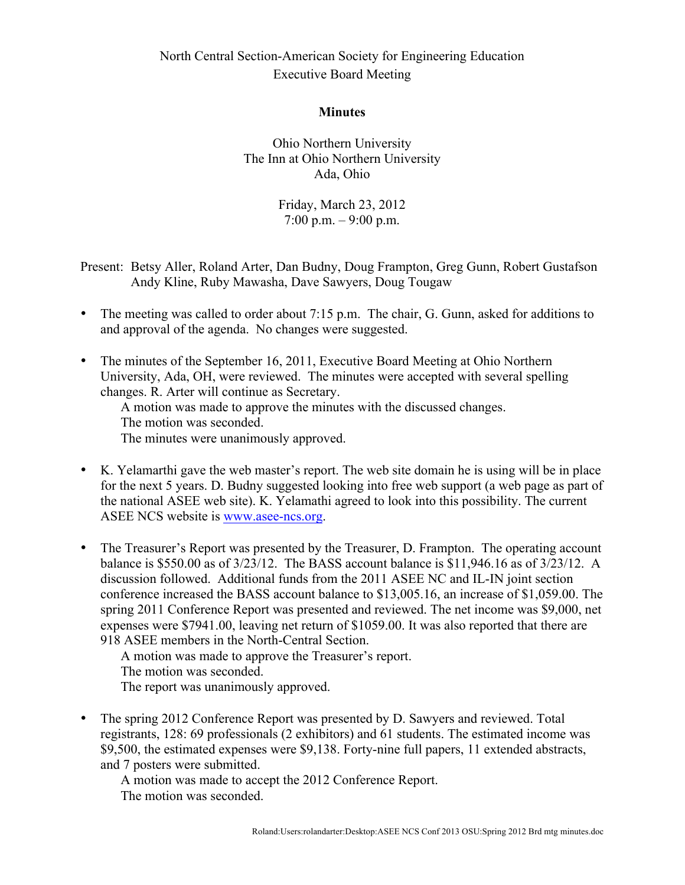## North Central Section-American Society for Engineering Education Executive Board Meeting

## **Minutes**

Ohio Northern University The Inn at Ohio Northern University Ada, Ohio

> Friday, March 23, 2012  $7:00 \text{ p.m.} - 9:00 \text{ p.m.}$

- Present: Betsy Aller, Roland Arter, Dan Budny, Doug Frampton, Greg Gunn, Robert Gustafson Andy Kline, Ruby Mawasha, Dave Sawyers, Doug Tougaw
- The meeting was called to order about 7:15 p.m. The chair, G. Gunn, asked for additions to and approval of the agenda. No changes were suggested.
- The minutes of the September 16, 2011, Executive Board Meeting at Ohio Northern University, Ada, OH, were reviewed. The minutes were accepted with several spelling changes. R. Arter will continue as Secretary.

A motion was made to approve the minutes with the discussed changes. The motion was seconded.

The minutes were unanimously approved.

- K. Yelamarthi gave the web master's report. The web site domain he is using will be in place for the next 5 years. D. Budny suggested looking into free web support (a web page as part of the national ASEE web site). K. Yelamathi agreed to look into this possibility. The current ASEE NCS website is www.asee-ncs.org.
- The Treasurer's Report was presented by the Treasurer, D. Frampton. The operating account balance is \$550.00 as of 3/23/12. The BASS account balance is \$11,946.16 as of 3/23/12. A discussion followed. Additional funds from the 2011 ASEE NC and IL-IN joint section conference increased the BASS account balance to \$13,005.16, an increase of \$1,059.00. The spring 2011 Conference Report was presented and reviewed. The net income was \$9,000, net expenses were \$7941.00, leaving net return of \$1059.00. It was also reported that there are 918 ASEE members in the North-Central Section.

A motion was made to approve the Treasurer's report. The motion was seconded. The report was unanimously approved.

• The spring 2012 Conference Report was presented by D. Sawyers and reviewed. Total registrants, 128: 69 professionals (2 exhibitors) and 61 students. The estimated income was \$9,500, the estimated expenses were \$9,138. Forty-nine full papers, 11 extended abstracts, and 7 posters were submitted.

A motion was made to accept the 2012 Conference Report. The motion was seconded.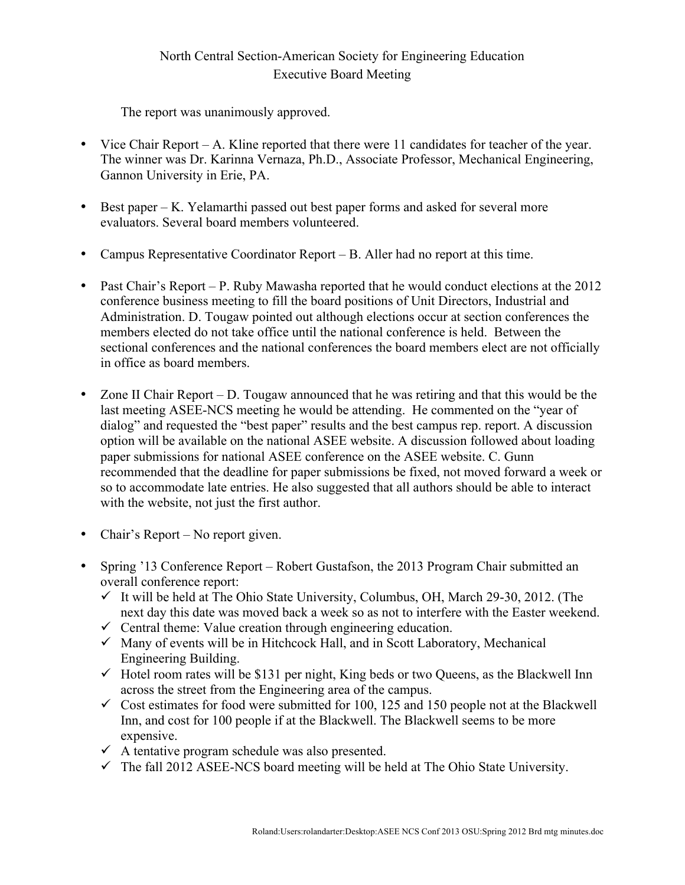## North Central Section-American Society for Engineering Education Executive Board Meeting

The report was unanimously approved.

- Vice Chair Report A. Kline reported that there were 11 candidates for teacher of the year. The winner was Dr. Karinna Vernaza, Ph.D., Associate Professor, Mechanical Engineering, Gannon University in Erie, PA.
- Best paper K. Yelamarthi passed out best paper forms and asked for several more evaluators. Several board members volunteered.
- Campus Representative Coordinator Report B. Aller had no report at this time.
- Past Chair's Report P. Ruby Mawasha reported that he would conduct elections at the 2012 conference business meeting to fill the board positions of Unit Directors, Industrial and Administration. D. Tougaw pointed out although elections occur at section conferences the members elected do not take office until the national conference is held. Between the sectional conferences and the national conferences the board members elect are not officially in office as board members.
- Zone II Chair Report D. Tougaw announced that he was retiring and that this would be the last meeting ASEE-NCS meeting he would be attending. He commented on the "year of dialog" and requested the "best paper" results and the best campus rep. report. A discussion option will be available on the national ASEE website. A discussion followed about loading paper submissions for national ASEE conference on the ASEE website. C. Gunn recommended that the deadline for paper submissions be fixed, not moved forward a week or so to accommodate late entries. He also suggested that all authors should be able to interact with the website, not just the first author.
- Chair's Report No report given.
- Spring '13 Conference Report Robert Gustafson, the 2013 Program Chair submitted an overall conference report:
	- $\checkmark$  It will be held at The Ohio State University, Columbus, OH, March 29-30, 2012. (The next day this date was moved back a week so as not to interfere with the Easter weekend.
	- $\checkmark$  Central theme: Value creation through engineering education.
	- $\checkmark$  Many of events will be in Hitchcock Hall, and in Scott Laboratory, Mechanical Engineering Building.
	- $\checkmark$  Hotel room rates will be \$131 per night, King beds or two Queens, as the Blackwell Inn across the street from the Engineering area of the campus.
	- $\checkmark$  Cost estimates for food were submitted for 100, 125 and 150 people not at the Blackwell Inn, and cost for 100 people if at the Blackwell. The Blackwell seems to be more expensive.
	- $\checkmark$  A tentative program schedule was also presented.
	- $\checkmark$  The fall 2012 ASEE-NCS board meeting will be held at The Ohio State University.